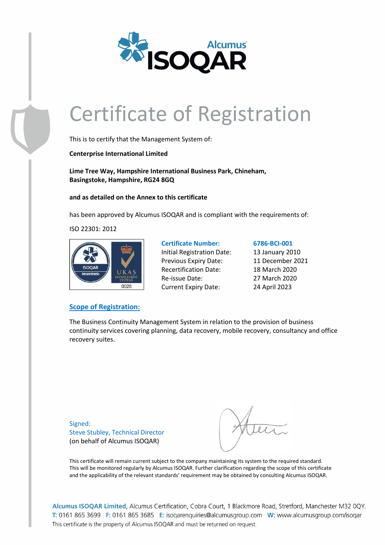

This is to certify that the Management System of:

**Centerprise International Limited**

**Lime Tree Way, Hampshire International Business Park, Chineham, Basingstoke, Hampshire, RG24 8GQ**

**and as detailed on the Annex to this certificate**

has been approved by Alcumus ISOQAR and is compliant with the requirements of:

ISO 22301: 2012



### **Scope of Registration:**

**Certificate Number: 6786-BCI-001** Initial Registration Date: 13 January 2010 Previous Expiry Date: 11 December 2021 Recertification Date: 18 March 2020 Re-issue Date: 27 March 2020 Current Expiry Date: 24 April 2023

The Business Continuity Management System in relation to the provision of business continuity services covering planning, data recovery, mobile recovery, consultancy and office recovery suites.

Signed: Steve Stubley, Technical Director (on behalf of Alcumus ISOQAR)

This certificate will remain current subject to the company maintaining its system to the required standard. This will be monitored regularly by Alcumus ISOQAR. Further clarification regarding the scope of this certificate and the applicability of the relevant standards' requirement may be obtained by consulting Alcumus ISOQAR.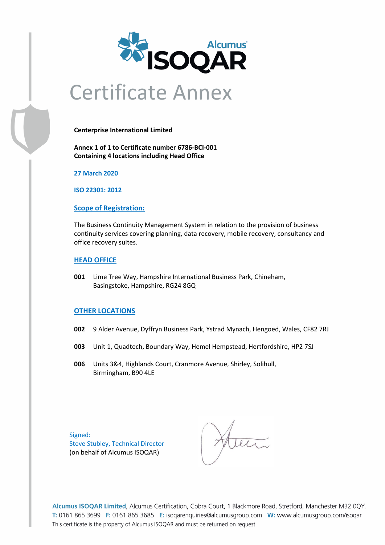

## Certificate Annex

**Centerprise International Limited**

**Annex 1 of 1 to Certificate number 6786-BCI-001 Containing 4 locations including Head Office**

**27 March 2020**

**ISO 22301: 2012**

#### **Scope of Registration:**

The Business Continuity Management System in relation to the provision of business continuity services covering planning, data recovery, mobile recovery, consultancy and office recovery suites.

#### **HEAD OFFICE**

**001** Lime Tree Way, Hampshire International Business Park, Chineham, Basingstoke, Hampshire, RG24 8GQ

### **OTHER LOCATIONS**

- **002** 9 Alder Avenue, Dyffryn Business Park, Ystrad Mynach, Hengoed, Wales, CF82 7RJ
- **003** Unit 1, Quadtech, Boundary Way, Hemel Hempstead, Hertfordshire, HP2 7SJ
- **006** Units 3&4, Highlands Court, Cranmore Avenue, Shirley, Solihull, Birmingham, B90 4LE

Signed: Steve Stubley, Technical Director (on behalf of Alcumus ISOQAR)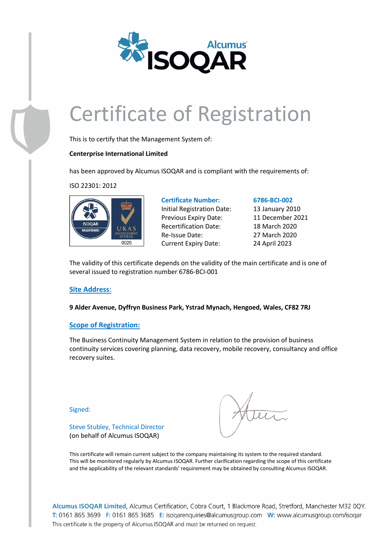

This is to certify that the Management System of:

### **Centerprise International Limited**

has been approved by Alcumus ISOQAR and is compliant with the requirements of:

ISO 22301: 2012



## Initial Registration Date: 13 January 2010 Previous Expiry Date: 11 December 2021 Recertification Date: 18 March 2020 Re-Issue Date: 27 March 2020

#### **Certificate Number: 6786-BCI-002**

Current Expiry Date: 24 April 2023

The validity of this certificate depends on the validity of the main certificate and is one of several issued to registration number 6786-BCI-001

### **Site Address:**

**9 Alder Avenue, Dyffryn Business Park, Ystrad Mynach, Hengoed, Wales, CF82 7RJ**

#### **Scope of Registration:**

Steve Stubley, Technical Director (on behalf of Alcumus ISOQAR)

The Business Continuity Management System in relation to the provision of business continuity services covering planning, data recovery, mobile recovery, consultancy and office recovery suites.

Signed:

This certificate will remain current subject to the company maintaining its system to the required standard. This will be monitored regularly by Alcumus ISOQAR. Further clarification regarding the scope of this certificate and the applicability of the relevant standards' requirement may be obtained by consulting Alcumus ISOQAR.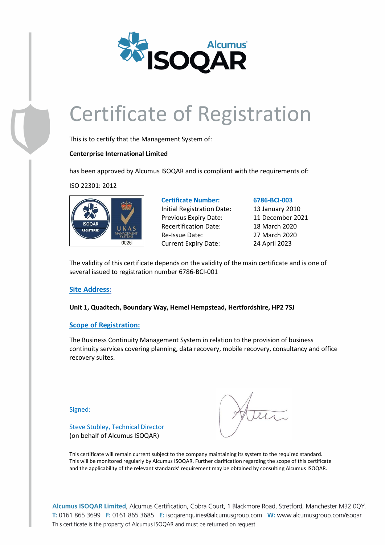

This is to certify that the Management System of:

### **Centerprise International Limited**

has been approved by Alcumus ISOQAR and is compliant with the requirements of:

ISO 22301: 2012



### **Certificate Number: 6786-BCI-003** Initial Registration Date: 13 January 2010 Previous Expiry Date: 11 December 2021 Recertification Date: 18 March 2020 Re-Issue Date: 27 March 2020

Current Expiry Date: 24 April 2023

The validity of this certificate depends on the validity of the main certificate and is one of several issued to registration number 6786-BCI-001

### **Site Address:**

**Unit 1, Quadtech, Boundary Way, Hemel Hempstead, Hertfordshire, HP2 7SJ**

### **Scope of Registration:**

Steve Stubley, Technical Director (on behalf of Alcumus ISOQAR)

The Business Continuity Management System in relation to the provision of business continuity services covering planning, data recovery, mobile recovery, consultancy and office recovery suites.

Signed:

This certificate will remain current subject to the company maintaining its system to the required standard. This will be monitored regularly by Alcumus ISOQAR. Further clarification regarding the scope of this certificate and the applicability of the relevant standards' requirement may be obtained by consulting Alcumus ISOQAR.